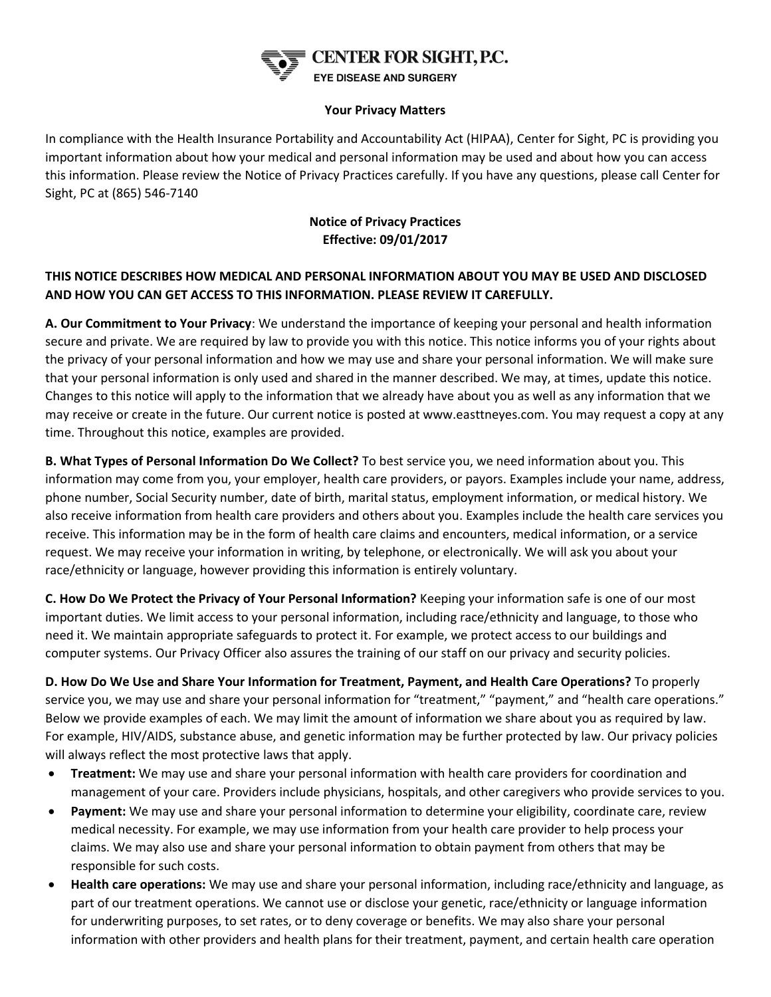

#### **Your Privacy Matters**

In compliance with the Health Insurance Portability and Accountability Act (HIPAA), Center for Sight, PC is providing you important information about how your medical and personal information may be used and about how you can access this information. Please review the Notice of Privacy Practices carefully. If you have any questions, please call Center for Sight, PC at (865) 546-7140

### **Notice of Privacy Practices Effective: 09/01/2017**

### **THIS NOTICE DESCRIBES HOW MEDICAL AND PERSONAL INFORMATION ABOUT YOU MAY BE USED AND DISCLOSED AND HOW YOU CAN GET ACCESS TO THIS INFORMATION. PLEASE REVIEW IT CAREFULLY.**

**A. Our Commitment to Your Privacy**: We understand the importance of keeping your personal and health information secure and private. We are required by law to provide you with this notice. This notice informs you of your rights about the privacy of your personal information and how we may use and share your personal information. We will make sure that your personal information is only used and shared in the manner described. We may, at times, update this notice. Changes to this notice will apply to the information that we already have about you as well as any information that we may receive or create in the future. Our current notice is posted at www.easttneyes.com. You may request a copy at any time. Throughout this notice, examples are provided.

**B. What Types of Personal Information Do We Collect?** To best service you, we need information about you. This information may come from you, your employer, health care providers, or payors. Examples include your name, address, phone number, Social Security number, date of birth, marital status, employment information, or medical history. We also receive information from health care providers and others about you. Examples include the health care services you receive. This information may be in the form of health care claims and encounters, medical information, or a service request. We may receive your information in writing, by telephone, or electronically. We will ask you about your race/ethnicity or language, however providing this information is entirely voluntary.

**C. How Do We Protect the Privacy of Your Personal Information?** Keeping your information safe is one of our most important duties. We limit access to your personal information, including race/ethnicity and language, to those who need it. We maintain appropriate safeguards to protect it. For example, we protect access to our buildings and computer systems. Our Privacy Officer also assures the training of our staff on our privacy and security policies.

**D. How Do We Use and Share Your Information for Treatment, Payment, and Health Care Operations?** To properly service you, we may use and share your personal information for "treatment," "payment," and "health care operations." Below we provide examples of each. We may limit the amount of information we share about you as required by law. For example, HIV/AIDS, substance abuse, and genetic information may be further protected by law. Our privacy policies will always reflect the most protective laws that apply.

- **Treatment:** We may use and share your personal information with health care providers for coordination and management of your care. Providers include physicians, hospitals, and other caregivers who provide services to you.
- **Payment:** We may use and share your personal information to determine your eligibility, coordinate care, review medical necessity. For example, we may use information from your health care provider to help process your claims. We may also use and share your personal information to obtain payment from others that may be responsible for such costs.
- **Health care operations:** We may use and share your personal information, including race/ethnicity and language, as part of our treatment operations. We cannot use or disclose your genetic, race/ethnicity or language information for underwriting purposes, to set rates, or to deny coverage or benefits. We may also share your personal information with other providers and health plans for their treatment, payment, and certain health care operation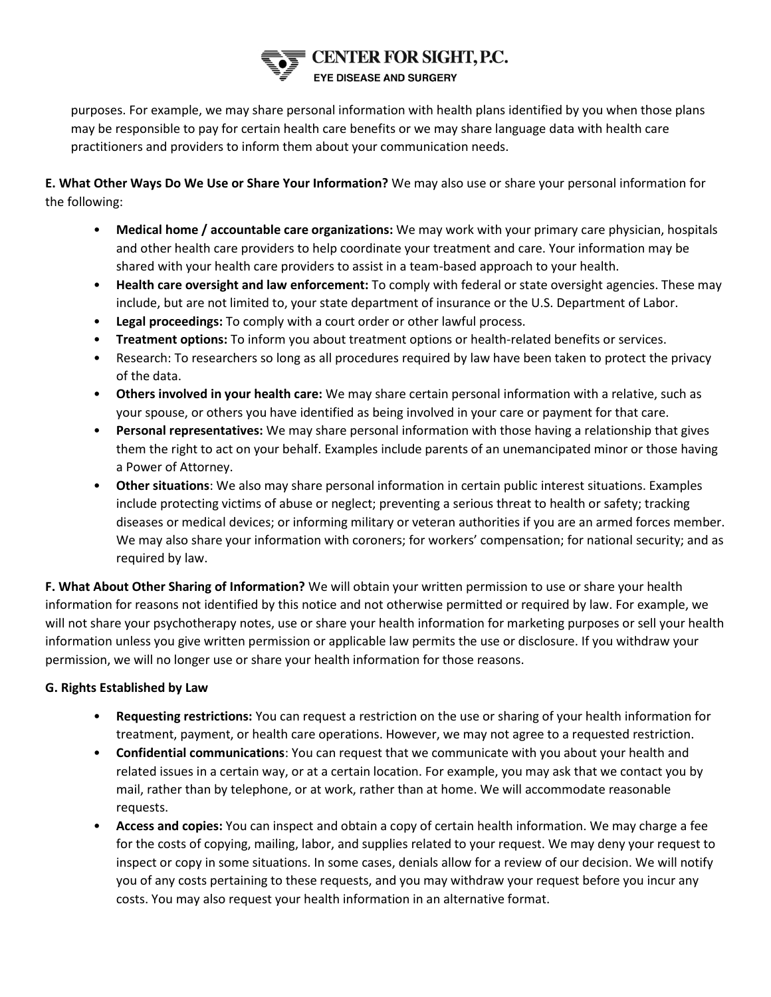# CENTER FOR SIGHT, P.C. **EYE DISEASE AND SURGERY**

purposes. For example, we may share personal information with health plans identified by you when those plans may be responsible to pay for certain health care benefits or we may share language data with health care practitioners and providers to inform them about your communication needs.

**E. What Other Ways Do We Use or Share Your Information?** We may also use or share your personal information for the following:

- **Medical home / accountable care organizations:** We may work with your primary care physician, hospitals and other health care providers to help coordinate your treatment and care. Your information may be shared with your health care providers to assist in a team-based approach to your health.
- **Health care oversight and law enforcement:** To comply with federal or state oversight agencies. These may include, but are not limited to, your state department of insurance or the U.S. Department of Labor.
- **Legal proceedings:** To comply with a court order or other lawful process.
- **Treatment options:** To inform you about treatment options or health-related benefits or services.
- Research: To researchers so long as all procedures required by law have been taken to protect the privacy of the data.
- **Others involved in your health care:** We may share certain personal information with a relative, such as your spouse, or others you have identified as being involved in your care or payment for that care.
- **Personal representatives:** We may share personal information with those having a relationship that gives them the right to act on your behalf. Examples include parents of an unemancipated minor or those having a Power of Attorney.
- **Other situations**: We also may share personal information in certain public interest situations. Examples include protecting victims of abuse or neglect; preventing a serious threat to health or safety; tracking diseases or medical devices; or informing military or veteran authorities if you are an armed forces member. We may also share your information with coroners; for workers' compensation; for national security; and as required by law.

**F. What About Other Sharing of Information?** We will obtain your written permission to use or share your health information for reasons not identified by this notice and not otherwise permitted or required by law. For example, we will not share your psychotherapy notes, use or share your health information for marketing purposes or sell your health information unless you give written permission or applicable law permits the use or disclosure. If you withdraw your permission, we will no longer use or share your health information for those reasons.

### **G. Rights Established by Law**

- **Requesting restrictions:** You can request a restriction on the use or sharing of your health information for treatment, payment, or health care operations. However, we may not agree to a requested restriction.
- **Confidential communications**: You can request that we communicate with you about your health and related issues in a certain way, or at a certain location. For example, you may ask that we contact you by mail, rather than by telephone, or at work, rather than at home. We will accommodate reasonable requests.
- **Access and copies:** You can inspect and obtain a copy of certain health information. We may charge a fee for the costs of copying, mailing, labor, and supplies related to your request. We may deny your request to inspect or copy in some situations. In some cases, denials allow for a review of our decision. We will notify you of any costs pertaining to these requests, and you may withdraw your request before you incur any costs. You may also request your health information in an alternative format.